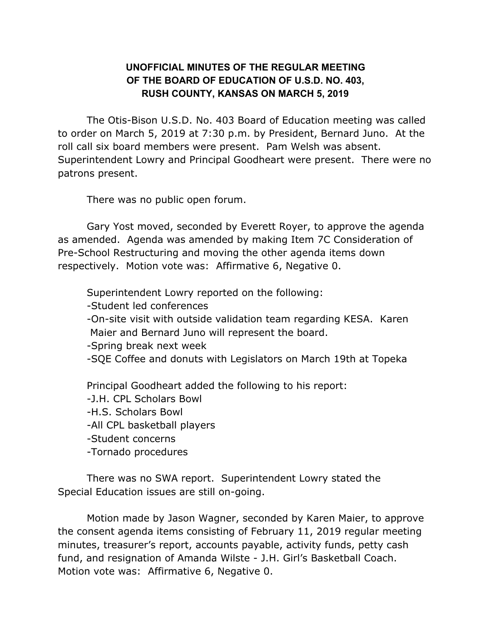## **UNOFFICIAL MINUTES OF THE REGULAR MEETING OF THE BOARD OF EDUCATION OF U.S.D. NO. 403, RUSH COUNTY, KANSAS ON MARCH 5, 2019**

The Otis-Bison U.S.D. No. 403 Board of Education meeting was called to order on March 5, 2019 at 7:30 p.m. by President, Bernard Juno. At the roll call six board members were present. Pam Welsh was absent. Superintendent Lowry and Principal Goodheart were present. There were no patrons present.

There was no public open forum.

Gary Yost moved, seconded by Everett Royer, to approve the agenda as amended. Agenda was amended by making Item 7C Consideration of Pre-School Restructuring and moving the other agenda items down respectively. Motion vote was: Affirmative 6, Negative 0.

Superintendent Lowry reported on the following:

-Student led conferences

-On-site visit with outside validation team regarding KESA. Karen Maier and Bernard Juno will represent the board.

-Spring break next week

-SQE Coffee and donuts with Legislators on March 19th at Topeka

Principal Goodheart added the following to his report:

- -J.H. CPL Scholars Bowl
- -H.S. Scholars Bowl
- -All CPL basketball players
- -Student concerns
- -Tornado procedures

There was no SWA report. Superintendent Lowry stated the Special Education issues are still on-going.

Motion made by Jason Wagner, seconded by Karen Maier, to approve the consent agenda items consisting of February 11, 2019 regular meeting minutes, treasurer's report, accounts payable, activity funds, petty cash fund, and resignation of Amanda Wilste - J.H. Girl's Basketball Coach. Motion vote was: Affirmative 6, Negative 0.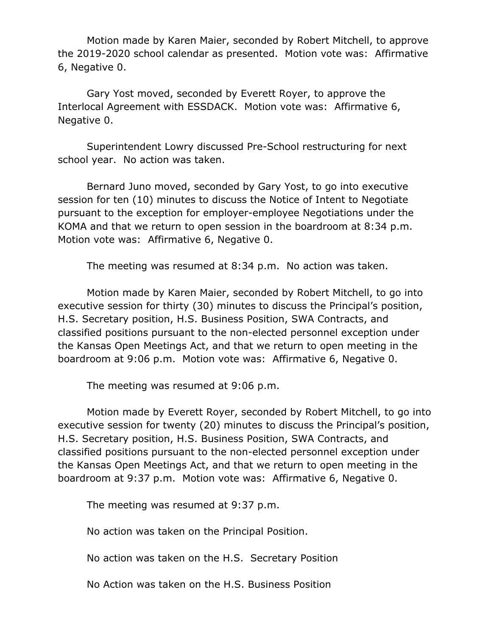Motion made by Karen Maier, seconded by Robert Mitchell, to approve the 2019-2020 school calendar as presented. Motion vote was: Affirmative 6, Negative 0.

Gary Yost moved, seconded by Everett Royer, to approve the Interlocal Agreement with ESSDACK. Motion vote was: Affirmative 6, Negative 0.

Superintendent Lowry discussed Pre-School restructuring for next school year. No action was taken.

Bernard Juno moved, seconded by Gary Yost, to go into executive session for ten (10) minutes to discuss the Notice of Intent to Negotiate pursuant to the exception for employer-employee Negotiations under the KOMA and that we return to open session in the boardroom at 8:34 p.m. Motion vote was: Affirmative 6, Negative 0.

The meeting was resumed at 8:34 p.m. No action was taken.

Motion made by Karen Maier, seconded by Robert Mitchell, to go into executive session for thirty (30) minutes to discuss the Principal's position, H.S. Secretary position, H.S. Business Position, SWA Contracts, and classified positions pursuant to the non-elected personnel exception under the Kansas Open Meetings Act, and that we return to open meeting in the boardroom at 9:06 p.m. Motion vote was: Affirmative 6, Negative 0.

The meeting was resumed at 9:06 p.m.

Motion made by Everett Royer, seconded by Robert Mitchell, to go into executive session for twenty (20) minutes to discuss the Principal's position, H.S. Secretary position, H.S. Business Position, SWA Contracts, and classified positions pursuant to the non-elected personnel exception under the Kansas Open Meetings Act, and that we return to open meeting in the boardroom at 9:37 p.m. Motion vote was: Affirmative 6, Negative 0.

The meeting was resumed at 9:37 p.m.

No action was taken on the Principal Position.

No action was taken on the H.S. Secretary Position

No Action was taken on the H.S. Business Position